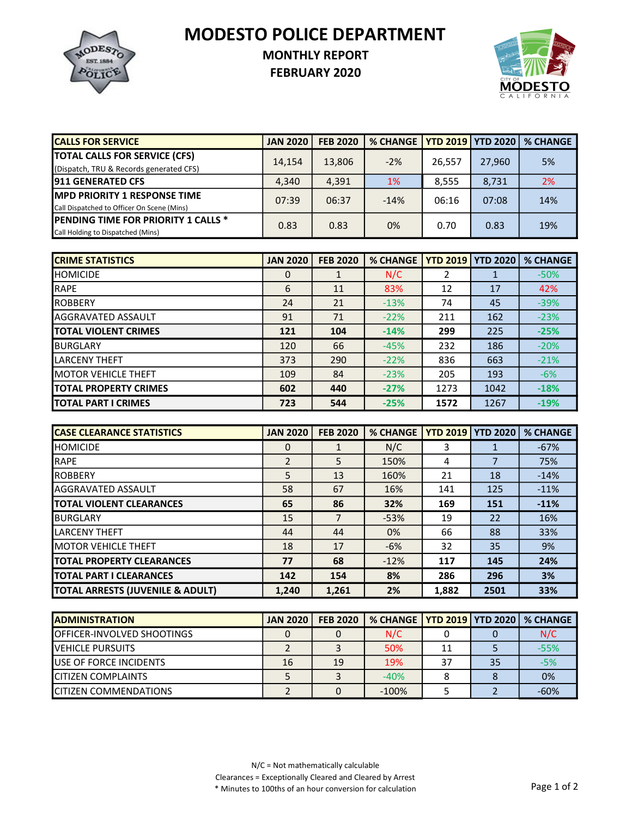MODESTO POLICE DEPARTMENT



## MONTHLY REPORT

FEBRUARY 2020



| <b>CALLS FOR SERVICE</b>                    | <b>JAN 2020</b> | <b>FEB 2020</b> | % CHANGE   YTD 2019   YTD 2020   % CHANGE |        |        |     |
|---------------------------------------------|-----------------|-----------------|-------------------------------------------|--------|--------|-----|
| <b>TOTAL CALLS FOR SERVICE (CFS)</b>        | 14,154          | 13,806          | $-2%$                                     | 26,557 | 27,960 | 5%  |
| (Dispatch, TRU & Records generated CFS)     |                 |                 |                                           |        |        |     |
| <b>1911 GENERATED CFS</b>                   | 4,340           | 4,391           | <b>1%</b>                                 | 8,555  | 8,731  | 2%  |
| <b>IMPD PRIORITY 1 RESPONSE TIME</b>        | 07:39           | 06:37           | $-14%$                                    | 06:16  | 07:08  | 14% |
| Call Dispatched to Officer On Scene (Mins)  |                 |                 |                                           |        |        |     |
| <b>IPENDING TIME FOR PRIORITY 1 CALLS *</b> | 0.83            | 0.83            | 0%                                        | 0.70   | 0.83   | 19% |
| Call Holding to Dispatched (Mins)           |                 |                 |                                           |        |        |     |

| <b>ICRIME STATISTICS</b>     | <b>JAN 2020</b> | <b>FEB 2020</b> | <b>% CHANGE</b> | <b>YTD 2019</b> | <b>YTD 2020</b> | <b>% CHANGE</b> |
|------------------------------|-----------------|-----------------|-----------------|-----------------|-----------------|-----------------|
| <b>I</b> HOMICIDE            | 0               | $\mathbf{1}$    | N/C             | 2               |                 | $-50%$          |
| <b>RAPE</b>                  | 6               | 11              | 83%             | 12              | 17              | 42%             |
| <b>IROBBERY</b>              | 24              | 21              | $-13%$          | 74              | 45              | $-39%$          |
| <b>AGGRAVATED ASSAULT</b>    | 91              | 71              | $-22%$          | 211             | 162             | $-23%$          |
| <b>ITOTAL VIOLENT CRIMES</b> | 121             | 104             | $-14%$          | 299             | 225             | $-25%$          |
| <b>I</b> BURGLARY            | 120             | 66              | $-45%$          | 232             | 186             | $-20%$          |
| <b>LARCENY THEFT</b>         | 373             | 290             | $-22%$          | 836             | 663             | $-21%$          |
| <b>IMOTOR VEHICLE THEFT</b>  | 109             | 84              | $-23%$          | 205             | 193             | $-6%$           |
| <b>TOTAL PROPERTY CRIMES</b> | 602             | 440             | $-27%$          | 1273            | 1042            | $-18%$          |
| <b>ITOTAL PART I CRIMES</b>  | 723             | 544             | $-25%$          | 1572            | 1267            | $-19%$          |

| <b>ICASE CLEARANCE STATISTICS</b> | <b>JAN 2020</b> | <b>FEB 2020</b> | <b>% CHANGE</b> | <b>YTD 2019   YTD 2020</b> |      | <b>% CHANGE</b> |
|-----------------------------------|-----------------|-----------------|-----------------|----------------------------|------|-----------------|
| <b>HOMICIDE</b>                   | 0               |                 | N/C             | 3                          |      | $-67%$          |
| <b>IRAPE</b>                      | $\overline{2}$  | 5               | 150%            | 4                          |      | 75%             |
| <b>IROBBERY</b>                   | 5               | 13              | 160%            | 21                         | 18   | $-14%$          |
| <b>AGGRAVATED ASSAULT</b>         | 58              | 67              | 16%             | 141                        | 125  | $-11%$          |
| <b>TOTAL VIOLENT CLEARANCES</b>   | 65              | 86              | 32%             | 169                        | 151  | $-11%$          |
| <b>BURGLARY</b>                   | 15              | 7               | $-53%$          | 19                         | 22   | 16%             |
| <b>LARCENY THEFT</b>              | 44              | 44              | 0%              | 66                         | 88   | 33%             |
| <b>IMOTOR VEHICLE THEFT</b>       | 18              | 17              | $-6%$           | 32                         | 35   | 9%              |
| <b>ITOTAL PROPERTY CLEARANCES</b> | 77              | 68              | $-12%$          | 117                        | 145  | 24%             |
| <b>ITOTAL PART I CLEARANCES</b>   | 142             | 154             | 8%              | 286                        | 296  | 3%              |
| TOTAL ARRESTS (JUVENILE & ADULT)  | 1,240           | 1,261           | 2%              | 1,882                      | 2501 | 33%             |

| <b>IADMINISTRATION</b>             | <b>JAN 2020</b> | <b>FEB 2020</b> | % CHANGE   YTD 2019   YTD 2020   % CHANGE |    |    |        |
|------------------------------------|-----------------|-----------------|-------------------------------------------|----|----|--------|
| <b>IOFFICER-INVOLVED SHOOTINGS</b> |                 |                 | N/C                                       |    |    | N/C    |
| <b>IVEHICLE PURSUITS</b>           |                 |                 | 50%                                       | 11 |    | $-55%$ |
| <b>IUSE OF FORCE INCIDENTS</b>     | 16              | 19              | 19%                                       | 37 | 35 | $-5%$  |
| <b>ICITIZEN COMPLAINTS</b>         |                 |                 | $-40%$                                    |    |    | 0%     |
| <b>ICITIZEN COMMENDATIONS</b>      |                 |                 | $-100%$                                   |    |    | $-60%$ |